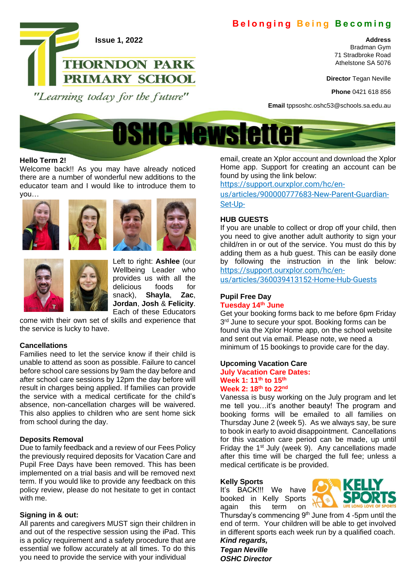# **Belonging Being Becoming**

#### **Address**

Bradman Gym 71 Stradbroke Road Athelstone SA 5076

**Director** Tegan Neville

**Phone** 0421 618 856

**Email** tppsoshc.oshc53@schools.sa.edu.au



## **Hello Term 2!**

Welcome back!! As you may have already noticed there are a number of wonderful new additions to the educator team and I would like to introduce them to you…

**Issue 1, 2022**

"Learning today for the future"

**THORNDON PARK** 

PRIMARY SCHOOL









Left to right: **Ashlee** (our Wellbeing Leader who provides us with all the delicious foods for snack), **Shayla**, **Zac**, **Jordan**, **Josh** & **Felicity**. Each of these Educators

come with their own set of skills and experience that the service is lucky to have.

## **Cancellations**

Families need to let the service know if their child is unable to attend as soon as possible. Failure to cancel before school care sessions by 9am the day before and after school care sessions by 12pm the day before will result in charges being applied. If families can provide the service with a medical certificate for the child's absence, non-cancellation charges will be waivered. This also applies to children who are sent home sick from school during the day.

## **Deposits Removal**

Due to family feedback and a review of our Fees Policy the previously required deposits for Vacation Care and Pupil Free Days have been removed. This has been implemented on a trial basis and will be removed next term. If you would like to provide any feedback on this policy review, please do not hesitate to get in contact with me.

## **Signing in & out:**

All parents and caregivers MUST sign their children in and out of the respective session using the iPad. This is a policy requirement and a safety procedure that are essential we follow accurately at all times. To do this you need to provide the service with your individual

email, create an Xplor account and download the Xplor Home app. Support for creating an account can be found by using the link below:

[https://support.ourxplor.com/hc/en-](https://support.ourxplor.com/hc/en-us/articles/900000777683-New-Parent-Guardian-Set-Up-)

[us/articles/900000777683-New-Parent-Guardian-](https://support.ourxplor.com/hc/en-us/articles/900000777683-New-Parent-Guardian-Set-Up-)[Set-Up-](https://support.ourxplor.com/hc/en-us/articles/900000777683-New-Parent-Guardian-Set-Up-)

#### **HUB GUESTS**

If you are unable to collect or drop off your child, then you need to give another adult authority to sign your child/ren in or out of the service. You must do this by adding them as a hub guest. This can be easily done by following the instruction in the link below: [https://support.ourxplor.com/hc/en-](https://support.ourxplor.com/hc/en-us/articles/360039413152-Home-Hub-Guests)

[us/articles/360039413152-Home-Hub-Guests](https://support.ourxplor.com/hc/en-us/articles/360039413152-Home-Hub-Guests)

## **Pupil Free Day Tuesday 14th June**

Get your booking forms back to me before 6pm Friday 3<sup>rd</sup> June to secure your spot. Booking forms can be found via the Xplor Home app, on the school website and sent out via email. Please note, we need a minimum of 15 bookings to provide care for the day.

#### **Upcoming Vacation Care**

#### **July Vacation Care Dates: Week 1: 11th to 15th Week 2: 18th to 22nd**

Vanessa is busy working on the July program and let me tell you…it's another beauty! The program and booking forms will be emailed to all families on Thursday June 2 (week 5). As we always say, be sure to book in early to avoid disappointment. Cancellations for this vacation care period can be made, up until Friday the  $1<sup>st</sup>$  July (week 9). Any cancellations made after this time will be charged the full fee; unless a medical certificate is be provided.

#### **Kelly Sports**

It's BACK!!! We have booked in Kelly Sports again this term on



Thursday's commencing 9<sup>th</sup> June from 4 -5pm until the end of term. Your children will be able to get involved in different sports each week run by a qualified coach. *Kind regards,*

*Tegan Neville OSHC Director*